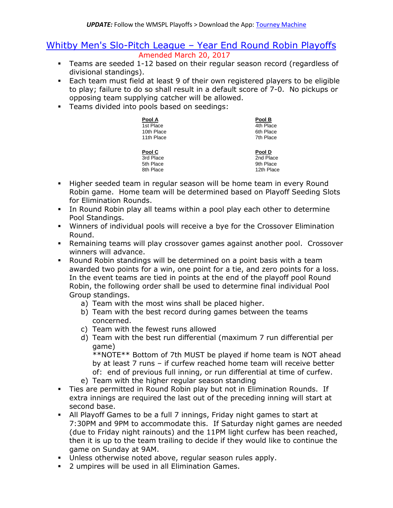## Whitby Men's Slo-Pitch League – Year End Round Robin Playoffs Amended March 20, 2017

- Teams are seeded 1-12 based on their regular season record (regardless of divisional standings).
- Each team must field at least 9 of their own registered players to be eligible to play; failure to do so shall result in a default score of 7-0. No pickups or opposing team supplying catcher will be allowed.
- **Teams divided into pools based on seedings:**

| Pool A     | Pool B     |
|------------|------------|
| 1st Place  | 4th Place  |
| 10th Place | 6th Place  |
| 11th Place | 7th Place  |
| Pool C     | Pool D     |
| 3rd Place  | 2nd Place  |
| 5th Place  | 9th Place  |
| 8th Place  | 12th Place |

- Higher seeded team in regular season will be home team in every Round Robin game. Home team will be determined based on Playoff Seeding Slots for Elimination Rounds.
- In Round Robin play all teams within a pool play each other to determine Pool Standings.
- Winners of individual pools will receive a bye for the Crossover Elimination Round.
- Remaining teams will play crossover games against another pool. Crossover winners will advance.
- Round Robin standings will be determined on a point basis with a team awarded two points for a win, one point for a tie, and zero points for a loss. In the event teams are tied in points at the end of the playoff pool Round Robin, the following order shall be used to determine final individual Pool Group standings.
	- a) Team with the most wins shall be placed higher.
	- b) Team with the best record during games between the teams concerned.
	- c) Team with the fewest runs allowed
	- d) Team with the best run differential (maximum 7 run differential per game)

\*\*NOTE\*\* Bottom of 7th MUST be played if home team is NOT ahead by at least 7 runs – if curfew reached home team will receive better of: end of previous full inning, or run differential at time of curfew.

- e) Team with the higher regular season standing
- Ties are permitted in Round Robin play but not in Elimination Rounds. If extra innings are required the last out of the preceding inning will start at second base.
- All Playoff Games to be a full 7 innings, Friday night games to start at 7:30PM and 9PM to accommodate this. If Saturday night games are needed (due to Friday night rainouts) and the 11PM light curfew has been reached, then it is up to the team trailing to decide if they would like to continue the game on Sunday at 9AM.
- Unless otherwise noted above, regular season rules apply.
- **2** umpires will be used in all Elimination Games.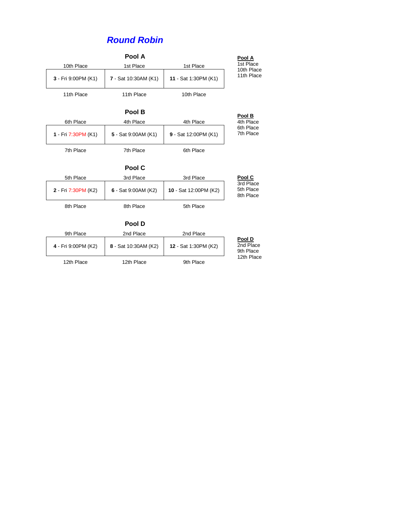## *Round Robin*

|                     | Pool A                 |                             | Pool A                              |
|---------------------|------------------------|-----------------------------|-------------------------------------|
| 10th Place          | 1st Place<br>1st Place |                             | 1st Place<br>10th Place             |
| 3 - Fri 9:00PM (K1) | 7 - Sat 10:30AM (K1)   | 11 - Sat 1:30PM (K1)        | 11th Place                          |
| 11th Place          | 11th Place             | 10th Place                  |                                     |
|                     | Pool B                 |                             | Pool B                              |
| 6th Place           | 4th Place              | 4th Place                   | 4th Place                           |
| 1 - Fri 7:30PM (K1) | 5 - Sat 9:00AM (K1)    | 9 - Sat 12:00PM (K1)        | 6th Place<br>7th Place              |
| 7th Place           | 7th Place              | 6th Place                   |                                     |
|                     | Pool C                 |                             |                                     |
| 5th Place           | 3rd Place              | 3rd Place                   | Pool C                              |
| 2 - Fri 7:30PM (K2) | 6 - Sat 9:00AM (K2)    | 10 - Sat 12:00PM (K2)       | 3rd Place<br>5th Place<br>8th Place |
| 8th Place           | 8th Place              | 5th Place                   |                                     |
|                     | Pool D                 |                             |                                     |
| 9th Place           | 2nd Place              | 2nd Place                   |                                     |
| 4 - Fri 9:00PM (K2) | 8 - Sat 10:30AM (K2)   | <b>12 - Sat 1:30PM (K2)</b> | Pool D<br>2nd Place<br>9th Place    |
| 12th Place          | 12th Place             | 9th Place                   | 12th Place                          |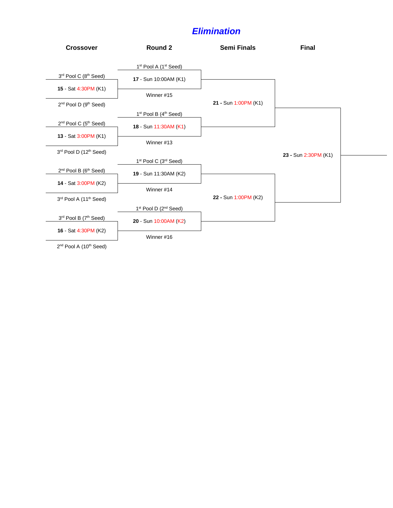## *Elimination*



2<sup>nd</sup> Pool A (10<sup>th</sup> Seed)